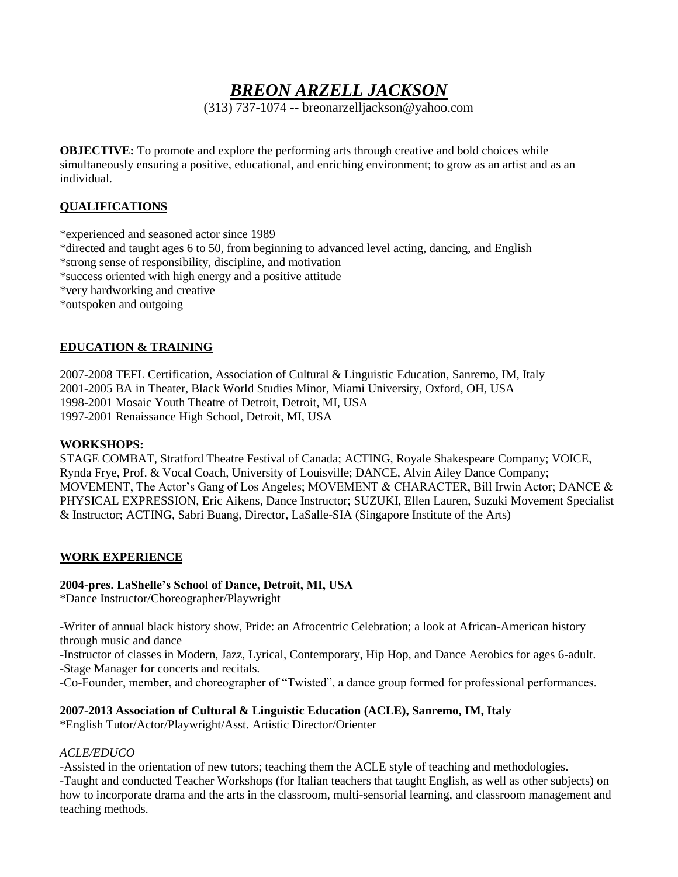# *BREON ARZELL JACKSON*

(313) 737-1074 -- breonarzelljackson@yahoo.com

**OBJECTIVE:** To promote and explore the performing arts through creative and bold choices while simultaneously ensuring a positive, educational, and enriching environment; to grow as an artist and as an individual.

# **QUALIFICATIONS**

\*experienced and seasoned actor since 1989 \*directed and taught ages 6 to 50, from beginning to advanced level acting, dancing, and English \*strong sense of responsibility, discipline, and motivation \*success oriented with high energy and a positive attitude \*very hardworking and creative \*outspoken and outgoing

#### **EDUCATION & TRAINING**

2007-2008 TEFL Certification, Association of Cultural & Linguistic Education, Sanremo, IM, Italy 2001-2005 BA in Theater, Black World Studies Minor, Miami University, Oxford, OH, USA 1998-2001 Mosaic Youth Theatre of Detroit, Detroit, MI, USA 1997-2001 Renaissance High School, Detroit, MI, USA

#### **WORKSHOPS:**

STAGE COMBAT, Stratford Theatre Festival of Canada; ACTING, Royale Shakespeare Company; VOICE, Rynda Frye, Prof. & Vocal Coach, University of Louisville; DANCE, Alvin Ailey Dance Company; MOVEMENT, The Actor's Gang of Los Angeles; MOVEMENT & CHARACTER, Bill Irwin Actor; DANCE & PHYSICAL EXPRESSION, Eric Aikens, Dance Instructor; SUZUKI, Ellen Lauren, Suzuki Movement Specialist & Instructor; ACTING, Sabri Buang, Director, LaSalle-SIA (Singapore Institute of the Arts)

#### **WORK EXPERIENCE**

#### **2004-pres. LaShelle's School of Dance, Detroit, MI, USA**

\*Dance Instructor/Choreographer/Playwright

-Writer of annual black history show, Pride: an Afrocentric Celebration; a look at African-American history through music and dance

-Instructor of classes in Modern, Jazz, Lyrical, Contemporary, Hip Hop, and Dance Aerobics for ages 6-adult. -Stage Manager for concerts and recitals.

-Co-Founder, member, and choreographer of "Twisted", a dance group formed for professional performances.

#### **2007-2013 Association of Cultural & Linguistic Education (ACLE), Sanremo, IM, Italy**

\*English Tutor/Actor/Playwright/Asst. Artistic Director/Orienter

#### *ACLE/EDUCO*

-Assisted in the orientation of new tutors; teaching them the ACLE style of teaching and methodologies. -Taught and conducted Teacher Workshops (for Italian teachers that taught English, as well as other subjects) on how to incorporate drama and the arts in the classroom, multi-sensorial learning, and classroom management and teaching methods.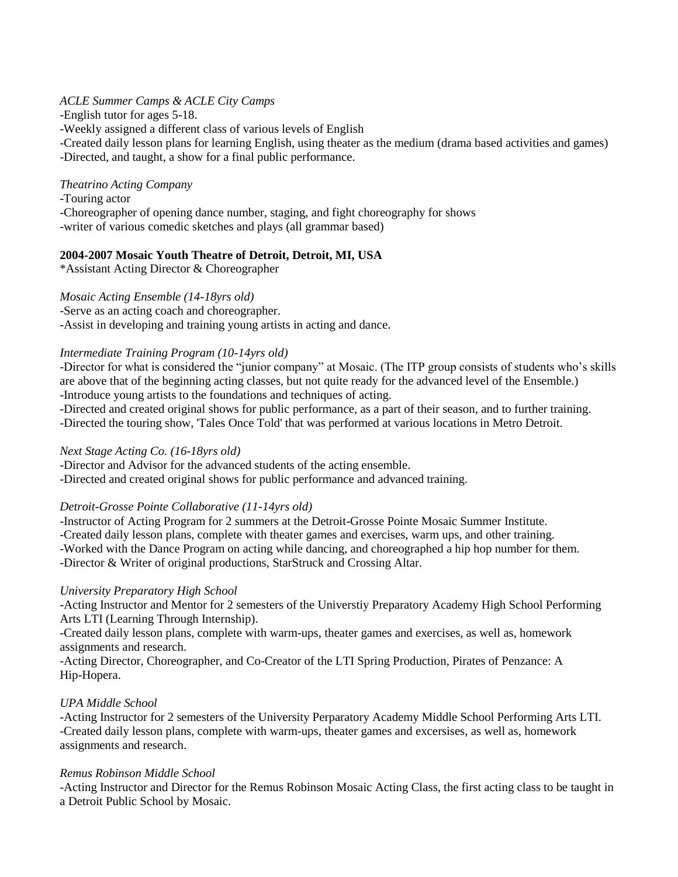## *ACLE Summer Camps & ACLE City Camps*

-English tutor for ages 5-18. -Weekly assigned a different class of various levels of English -Created daily lesson plans for learning English, using theater as the medium (drama based activities and games) -Directed, and taught, a show for a final public performance.

#### *Theatrino Acting Company*

-Touring actor

-Choreographer of opening dance number, staging, and fight choreography for shows -writer of various comedic sketches and plays (all grammar based)

# **2004-2007 Mosaic Youth Theatre of Detroit, Detroit, MI, USA**

\*Assistant Acting Director & Choreographer

#### *Mosaic Acting Ensemble (14-18yrs old)*

-Serve as an acting coach and choreographer.

-Assist in developing and training young artists in acting and dance.

#### *Intermediate Training Program (10-14yrs old)*

-Director for what is considered the "junior company" at Mosaic. (The ITP group consists of students who's skills are above that of the beginning acting classes, but not quite ready for the advanced level of the Ensemble.) -Introduce young artists to the foundations and techniques of acting.

-Directed and created original shows for public performance, as a part of their season, and to further training. -Directed the touring show, 'Tales Once Told' that was performed at various locations in Metro Detroit.

# *Next Stage Acting Co. (16-18yrs old)*

-Director and Advisor for the advanced students of the acting ensemble. -Directed and created original shows for public performance and advanced training.

# *Detroit-Grosse Pointe Collaborative (11-14yrs old)*

-Instructor of Acting Program for 2 summers at the Detroit-Grosse Pointe Mosaic Summer Institute. -Created daily lesson plans, complete with theater games and exercises, warm ups, and other training. -Worked with the Dance Program on acting while dancing, and choreographed a hip hop number for them. -Director & Writer of original productions, StarStruck and Crossing Altar.

#### *University Preparatory High School*

-Acting Instructor and Mentor for 2 semesters of the Universtiy Preparatory Academy High School Performing Arts LTI (Learning Through Internship).

-Created daily lesson plans, complete with warm-ups, theater games and exercises, as well as, homework assignments and research.

-Acting Director, Choreographer, and Co-Creator of the LTI Spring Production, Pirates of Penzance: A Hip-Hopera.

#### *UPA Middle School*

-Acting Instructor for 2 semesters of the University Perparatory Academy Middle School Performing Arts LTI. -Created daily lesson plans, complete with warm-ups, theater games and excersises, as well as, homework assignments and research.

#### *Remus Robinson Middle School*

-Acting Instructor and Director for the Remus Robinson Mosaic Acting Class, the first acting class to be taught in a Detroit Public School by Mosaic.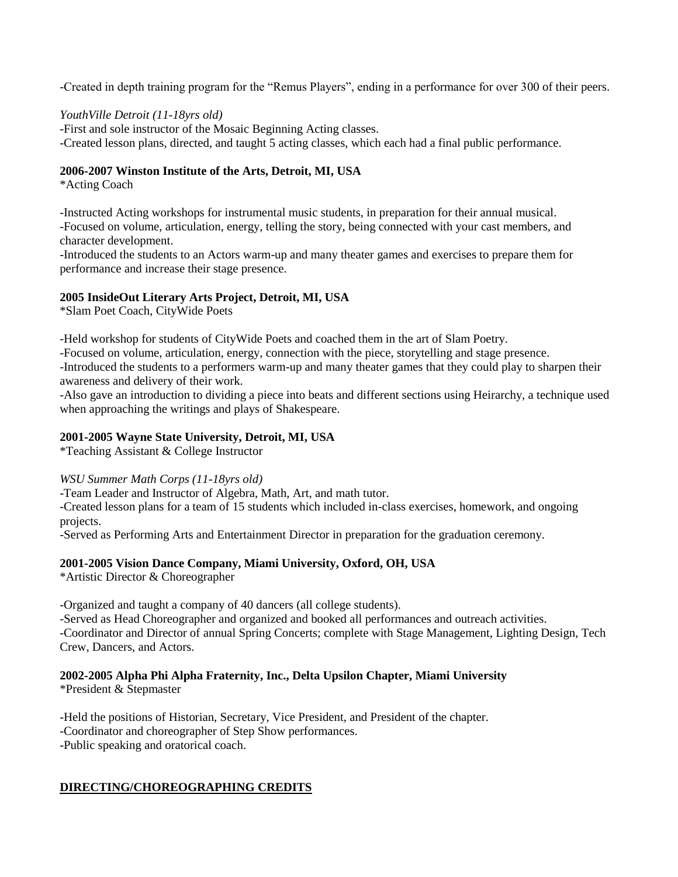-Created in depth training program for the "Remus Players", ending in a performance for over 300 of their peers.

#### *YouthVille Detroit (11-18yrs old)*

-First and sole instructor of the Mosaic Beginning Acting classes. -Created lesson plans, directed, and taught 5 acting classes, which each had a final public performance.

#### **2006-2007 Winston Institute of the Arts, Detroit, MI, USA**

\*Acting Coach

-Instructed Acting workshops for instrumental music students, in preparation for their annual musical. -Focused on volume, articulation, energy, telling the story, being connected with your cast members, and character development.

-Introduced the students to an Actors warm-up and many theater games and exercises to prepare them for performance and increase their stage presence.

#### **2005 InsideOut Literary Arts Project, Detroit, MI, USA**

\*Slam Poet Coach, CityWide Poets

-Held workshop for students of CityWide Poets and coached them in the art of Slam Poetry.

-Focused on volume, articulation, energy, connection with the piece, storytelling and stage presence.

-Introduced the students to a performers warm-up and many theater games that they could play to sharpen their awareness and delivery of their work.

-Also gave an introduction to dividing a piece into beats and different sections using Heirarchy, a technique used when approaching the writings and plays of Shakespeare.

#### **2001-2005 Wayne State University, Detroit, MI, USA**

\*Teaching Assistant & College Instructor

*WSU Summer Math Corps (11-18yrs old)*

-Team Leader and Instructor of Algebra, Math, Art, and math tutor.

-Created lesson plans for a team of 15 students which included in-class exercises, homework, and ongoing projects.

-Served as Performing Arts and Entertainment Director in preparation for the graduation ceremony.

# **2001-2005 Vision Dance Company, Miami University, Oxford, OH, USA**

\*Artistic Director & Choreographer

-Organized and taught a company of 40 dancers (all college students).

-Served as Head Choreographer and organized and booked all performances and outreach activities. -Coordinator and Director of annual Spring Concerts; complete with Stage Management, Lighting Design, Tech Crew, Dancers, and Actors.

# **2002-2005 Alpha Phi Alpha Fraternity, Inc., Delta Upsilon Chapter, Miami University**

\*President & Stepmaster

-Held the positions of Historian, Secretary, Vice President, and President of the chapter. -Coordinator and choreographer of Step Show performances. -Public speaking and oratorical coach.

# **DIRECTING/CHOREOGRAPHING CREDITS**